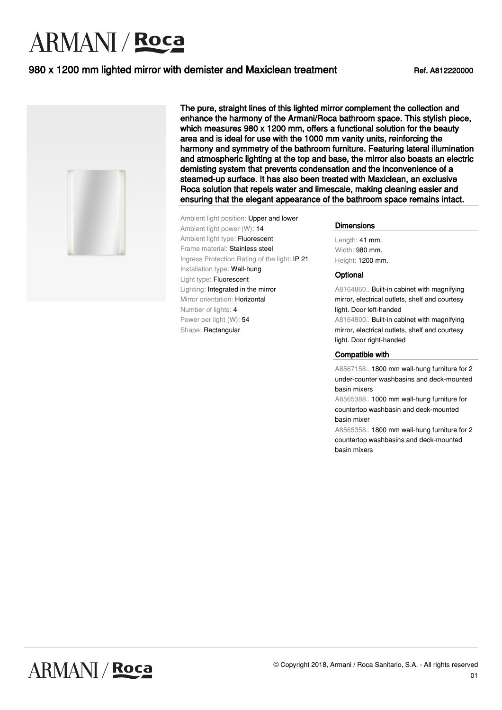# **ARMANI** / Roca

### 980 x 1200 mm lighted mirror with demister and Maxiclean treatment Ref. A812220000



The pure, straight lines of this lighted mirror complement the collection and enhance the harmony of the Armani/Roca bathroom space. This stylish piece, which measures 980 x 1200 mm, offers a functional solution for the beauty area and is ideal for use with the 1000 mm vanity units, reinforcing the harmony and symmetry of the bathroom furniture. Featuring lateral illumination and atmospheric lighting at the top and base, the mirror also boasts an electric demisting system that prevents condensation and the inconvenience of a steamed-up surface. It has also been treated with Maxiclean, an exclusive Roca solution that repels water and limescale, making cleaning easier and ensuring that the elegant appearance of the bathroom space remains intact.

Ambient light position: Upper and lower Ambient light power (W): 14 Ambient light type: Fluorescent Frame material: Stainless steel Ingress Protection Rating of the light: IP 21 Installation type: Wall-hung Light type: Fluorescent Lighting: Integrated in the mirror Mirror orientation: Horizontal Number of lights: 4 Power per light (W): 54 Shape: Rectangular

**Dimensions** 

Length: 41 mm. Width: 980 mm. Height: 1200 mm.

#### **Optional**

A8164860.. Built-in cabinet with magnifying mirror, electrical outlets, shelf and courtesy light. Door left-handed

A8164800.. Built-in cabinet with magnifying mirror, electrical outlets, shelf and courtesy light. Door right-handed

#### Compatible with

A8567158.. 1800 mm wall-hung furniture for 2 under-counter washbasins and deck-mounted basin mixers

A8565388.. 1000 mm wall-hung furniture for countertop washbasin and deck-mounted basin mixer

A8565358.. 1800 mm wall-hung furniture for 2 countertop washbasins and deck-mounted basin mixers